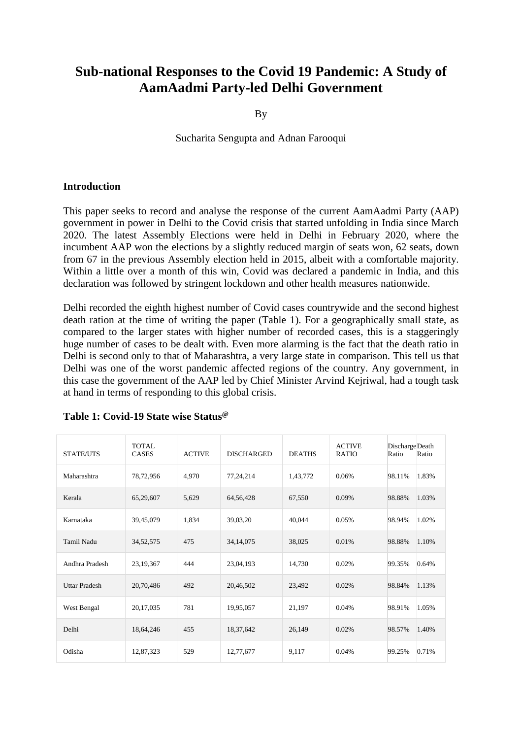# **Sub-national Responses to the Covid 19 Pandemic: A Study of AamAadmi Party-led Delhi Government**

By

Sucharita Sengupta and Adnan Farooqui

#### **Introduction**

This paper seeks to record and analyse the response of the current AamAadmi Party (AAP) government in power in Delhi to the Covid crisis that started unfolding in India since March 2020. The latest Assembly Elections were held in Delhi in February 2020, where the incumbent AAP won the elections by a slightly reduced margin of seats won, 62 seats, down from 67 in the previous Assembly election held in 2015, albeit with a comfortable majority. Within a little over a month of this win, Covid was declared a pandemic in India, and this declaration was followed by stringent lockdown and other health measures nationwide.

Delhi recorded the eighth highest number of Covid cases countrywide and the second highest death ration at the time of writing the paper (Table 1). For a geographically small state, as compared to the larger states with higher number of recorded cases, this is a staggeringly huge number of cases to be dealt with. Even more alarming is the fact that the death ratio in Delhi is second only to that of Maharashtra, a very large state in comparison. This tell us that Delhi was one of the worst pandemic affected regions of the country. Any government, in this case the government of the AAP led by Chief Minister Arvind Kejriwal, had a tough task at hand in terms of responding to this global crisis.

| STATE/UTS            | TOTAL.<br><b>CASES</b> | <b>ACTIVE</b> | <b>DISCHARGED</b> | <b>DEATHS</b> | <b>ACTIVE</b><br><b>RATIO</b> | Discharge Death<br>Ratio | Ratio |
|----------------------|------------------------|---------------|-------------------|---------------|-------------------------------|--------------------------|-------|
| Maharashtra          | 78,72,956              | 4,970         | 77,24,214         | 1,43,772      | 0.06%                         | 98.11%                   | 1.83% |
| Kerala               | 65,29,607              | 5,629         | 64,56,428         | 67,550        | 0.09%                         | 98.88%                   | 1.03% |
| Karnataka            | 39,45,079              | 1,834         | 39,03,20          | 40,044        | 0.05%                         | 98.94%                   | 1.02% |
| Tamil Nadu           | 34,52,575              | 475           | 34,14,075         | 38,025        | 0.01%                         | 98.88%                   | 1.10% |
| Andhra Pradesh       | 23,19,367              | 444           | 23,04,193         | 14,730        | 0.02%                         | 99.35%                   | 0.64% |
| <b>Uttar Pradesh</b> | 20,70,486              | 492           | 20,46,502         | 23,492        | 0.02%                         | 98.84%                   | 1.13% |
| West Bengal          | 20,17,035              | 781           | 19,95,057         | 21,197        | 0.04%                         | 98.91%                   | 1.05% |
| Delhi                | 18,64,246              | 455           | 18,37,642         | 26,149        | 0.02%                         | 98.57%                   | 1.40% |
| Odisha               | 12,87,323              | 529           | 12,77,677         | 9,117         | 0.04%                         | 99.25%                   | 0.71% |

#### **Table 1: Covid-19 State wise Status@**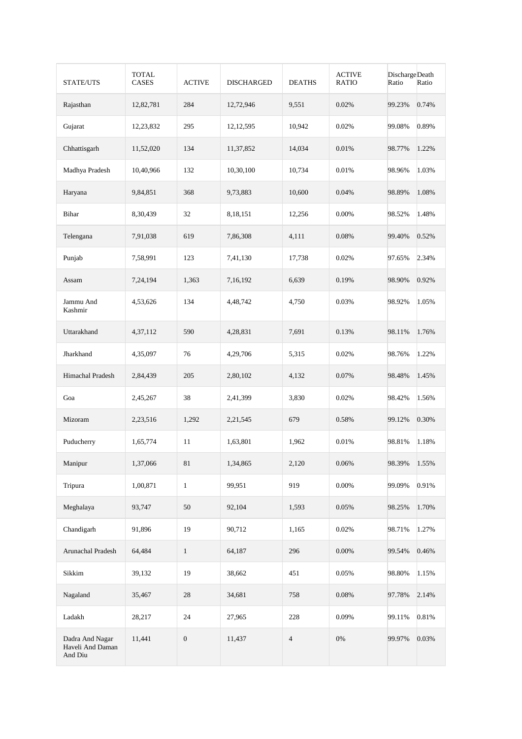| STATE/UTS                                      | <b>TOTAL</b><br><b>CASES</b> | <b>ACTIVE</b>    | <b>DISCHARGED</b> | <b>DEATHS</b>  | <b>ACTIVE</b><br><b>RATIO</b> | Discharge Death<br>Ratio | Ratio |
|------------------------------------------------|------------------------------|------------------|-------------------|----------------|-------------------------------|--------------------------|-------|
| Rajasthan                                      | 12,82,781                    | 284              | 12,72,946         | 9,551          | 0.02%                         | 99.23%                   | 0.74% |
| Gujarat                                        | 12,23,832                    | 295              | 12, 12, 595       | 10,942         | 0.02%                         | 99.08%                   | 0.89% |
| Chhattisgarh                                   | 11,52,020                    | 134              | 11,37,852         | 14,034         | 0.01%                         | 98.77%                   | 1.22% |
| Madhya Pradesh                                 | 10,40,966                    | 132              | 10,30,100         | 10,734         | 0.01%                         | 98.96%                   | 1.03% |
| Haryana                                        | 9,84,851                     | 368              | 9,73,883          | 10,600         | 0.04%                         | 98.89%                   | 1.08% |
| Bihar                                          | 8,30,439                     | 32               | 8,18,151          | 12,256         | 0.00%                         | 98.52%                   | 1.48% |
| Telengana                                      | 7,91,038                     | 619              | 7,86,308          | 4,111          | 0.08%                         | 99.40%                   | 0.52% |
| Punjab                                         | 7,58,991                     | 123              | 7,41,130          | 17.738         | 0.02%                         | 97.65%                   | 2.34% |
| Assam                                          | 7,24,194                     | 1,363            | 7,16,192          | 6,639          | 0.19%                         | 98.90%                   | 0.92% |
| Jammu And<br>Kashmir                           | 4,53,626                     | 134              | 4,48,742          | 4,750          | 0.03%                         | 98.92%                   | 1.05% |
| Uttarakhand                                    | 4,37,112                     | 590              | 4,28,831          | 7,691          | 0.13%                         | 98.11%                   | 1.76% |
| Jharkhand                                      | 4,35,097                     | 76               | 4,29,706          | 5,315          | 0.02%                         | 98.76%                   | 1.22% |
| Himachal Pradesh                               | 2,84,439                     | 205              | 2,80,102          | 4,132          | 0.07%                         | 98.48%                   | 1.45% |
| Goa                                            | 2,45,267                     | 38               | 2,41,399          | 3,830          | 0.02%                         | 98.42%                   | 1.56% |
| Mizoram                                        | 2,23,516                     | 1,292            | 2, 21, 545        | 679            | 0.58%                         | 99.12%                   | 0.30% |
| Puducherry                                     | 1,65,774                     | 11               | 1,63,801          | 1,962          | 0.01%                         | 98.81%                   | 1.18% |
| Manipur                                        | 1,37,066                     | $81\,$           | 1,34,865          | 2,120          | 0.06%                         | 98.39%                   | 1.55% |
| Tripura                                        | 1,00,871                     | $\,1\,$          | 99,951            | 919            | 0.00%                         | 99.09%                   | 0.91% |
| Meghalaya                                      | 93,747                       | 50               | 92,104            | 1,593          | 0.05%                         | 98.25%                   | 1.70% |
| Chandigarh                                     | 91,896                       | 19               | 90,712            | 1,165          | 0.02%                         | 98.71%                   | 1.27% |
| Arunachal Pradesh                              | 64,484                       | $\mathbf{1}$     | 64,187            | 296            | 0.00%                         | 99.54%                   | 0.46% |
| Sikkim                                         | 39,132                       | 19               | 38,662            | 451            | 0.05%                         | 98.80%                   | 1.15% |
| Nagaland                                       | 35,467                       | 28               | 34,681            | 758            | 0.08%                         | 97.78%                   | 2.14% |
| Ladakh                                         | 28,217                       | 24               | 27,965            | 228            | 0.09%                         | 99.11%                   | 0.81% |
| Dadra And Nagar<br>Haveli And Daman<br>And Diu | 11,441                       | $\boldsymbol{0}$ | 11,437            | $\overline{4}$ | $0\%$                         | 99.97%                   | 0.03% |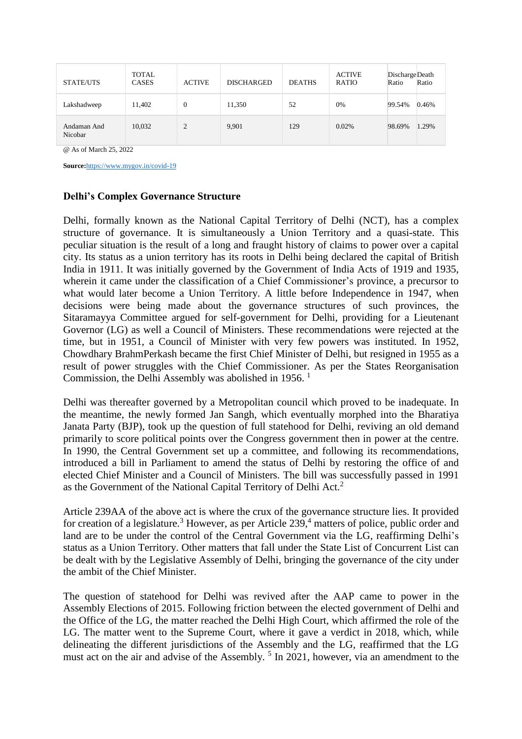| <b>STATE/UTS</b>       | <b>TOTAL</b><br><b>CASES</b> | <b>ACTIVE</b>  | <b>DISCHARGED</b> | <b>DEATHS</b> | <b>ACTIVE</b><br><b>RATIO</b> | Discharge Death<br>Ratio | Ratio |
|------------------------|------------------------------|----------------|-------------------|---------------|-------------------------------|--------------------------|-------|
| Lakshadweep            | 11,402                       | $\theta$       | 11,350            | 52            | 0%                            | 99.54%                   | 0.46% |
| Andaman And<br>Nicobar | 10,032                       | $\overline{c}$ | 9,901             | 129           | 0.02%                         | 98.69%                   | 1.29% |

@ As of March 25, 2022

**Source:**<https://www.mygov.in/covid-19>

## **Delhi's Complex Governance Structure**

Delhi, formally known as the National Capital Territory of Delhi (NCT), has a complex structure of governance. It is simultaneously a Union Territory and a quasi-state. This peculiar situation is the result of a long and fraught history of claims to power over a capital city. Its status as a union territory has its roots in Delhi being declared the capital of British India in 1911. It was initially governed by the Government of India Acts of 1919 and 1935, wherein it came under the classification of a Chief Commissioner's province, a precursor to what would later become a Union Territory. A little before Independence in 1947, when decisions were being made about the governance structures of such provinces, the Sitaramayya Committee argued for self-government for Delhi, providing for a Lieutenant Governor (LG) as well a Council of Ministers. These recommendations were rejected at the time, but in 1951, a Council of Minister with very few powers was instituted. In 1952, Chowdhary BrahmPerkash became the first Chief Minister of Delhi, but resigned in 1955 as a result of power struggles with the Chief Commissioner. As per the States Reorganisation Commission, the Delhi Assembly was abolished in 1956.<sup>1</sup>

Delhi was thereafter governed by a Metropolitan council which proved to be inadequate. In the meantime, the newly formed Jan Sangh, which eventually morphed into the Bharatiya Janata Party (BJP), took up the question of full statehood for Delhi, reviving an old demand primarily to score political points over the Congress government then in power at the centre. In 1990, the Central Government set up a committee, and following its recommendations, introduced a bill in Parliament to amend the status of Delhi by restoring the office of and elected Chief Minister and a Council of Ministers. The bill was successfully passed in 1991 as the Government of the National Capital Territory of Delhi Act.<sup>2</sup>

Article 239AA of the above act is where the crux of the governance structure lies. It provided for creation of a legislature.<sup>3</sup> However, as per Article 239,<sup>4</sup> matters of police, public order and land are to be under the control of the Central Government via the LG, reaffirming Delhi's status as a Union Territory. Other matters that fall under the State List of Concurrent List can be dealt with by the Legislative Assembly of Delhi, bringing the governance of the city under the ambit of the Chief Minister.

The question of statehood for Delhi was revived after the AAP came to power in the Assembly Elections of 2015. Following friction between the elected government of Delhi and the Office of the LG, the matter reached the Delhi High Court, which affirmed the role of the LG. The matter went to the Supreme Court, where it gave a verdict in 2018, which, while delineating the different jurisdictions of the Assembly and the LG, reaffirmed that the LG must act on the air and advise of the Assembly.<sup>5</sup> In 2021, however, via an amendment to the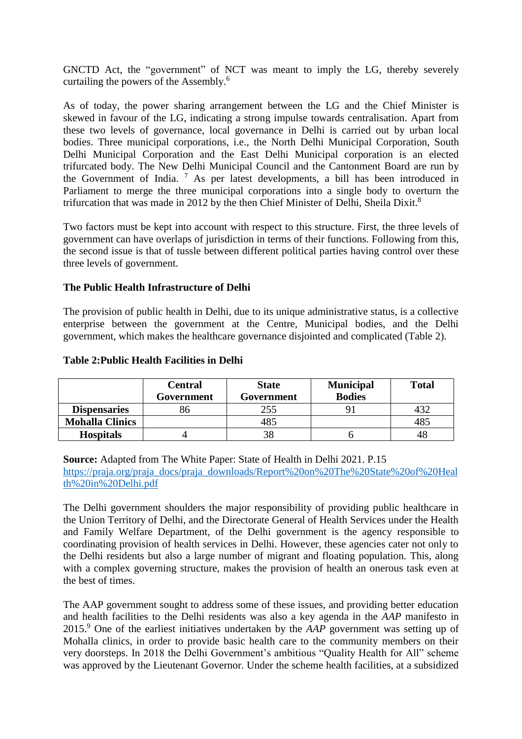GNCTD Act, the "government" of NCT was meant to imply the LG, thereby severely curtailing the powers of the Assembly.<sup>6</sup>

As of today, the power sharing arrangement between the LG and the Chief Minister is skewed in favour of the LG, indicating a strong impulse towards centralisation. Apart from these two levels of governance, local governance in Delhi is carried out by urban local bodies. Three municipal corporations, i.e., the North Delhi Municipal Corporation, South Delhi Municipal Corporation and the East Delhi Municipal corporation is an elected trifurcated body. The New Delhi Municipal Council and the Cantonment Board are run by the Government of India. <sup>7</sup> As per latest developments, a bill has been introduced in Parliament to merge the three municipal corporations into a single body to overturn the trifurcation that was made in 2012 by the then Chief Minister of Delhi, Sheila Dixit.<sup>8</sup>

Two factors must be kept into account with respect to this structure. First, the three levels of government can have overlaps of jurisdiction in terms of their functions. Following from this, the second issue is that of tussle between different political parties having control over these three levels of government.

# **The Public Health Infrastructure of Delhi**

The provision of public health in Delhi, due to its unique administrative status, is a collective enterprise between the government at the Centre, Municipal bodies, and the Delhi government, which makes the healthcare governance disjointed and complicated (Table 2).

|                        | <b>Central</b> | <b>State</b> | <b>Municipal</b> | <b>Total</b> |
|------------------------|----------------|--------------|------------------|--------------|
|                        | Government     | Government   | <b>Bodies</b>    |              |
| <b>Dispensaries</b>    |                | 255          |                  |              |
| <b>Mohalla Clinics</b> |                | 485          |                  | 485          |
| <b>Hospitals</b>       |                |              |                  | 48           |

#### **Table 2:Public Health Facilities in Delhi**

**Source:** Adapted from The White Paper: State of Health in Delhi 2021. P.15 [https://praja.org/praja\\_docs/praja\\_downloads/Report%20on%20The%20State%20of%20Heal](https://praja.org/praja_docs/praja_downloads/Report%20on%20The%20State%20of%20Health%20in%20Delhi.pdf) [th%20in%20Delhi.pdf](https://praja.org/praja_docs/praja_downloads/Report%20on%20The%20State%20of%20Health%20in%20Delhi.pdf)

The Delhi government shoulders the major responsibility of providing public healthcare in the Union Territory of Delhi, and the Directorate General of Health Services under the Health and Family Welfare Department, of the Delhi government is the agency responsible to coordinating provision of health services in Delhi. However, these agencies cater not only to the Delhi residents but also a large number of migrant and floating population. This, along with a complex governing structure, makes the provision of health an onerous task even at the best of times.

The AAP government sought to address some of these issues, and providing better education and health facilities to the Delhi residents was also a key agenda in the *AAP* manifesto in 2015.<sup>9</sup> One of the earliest initiatives undertaken by the *AAP* government was setting up of Mohalla clinics, in order to provide basic health care to the community members on their very doorsteps. In 2018 the Delhi Government's ambitious "Quality Health for All" scheme was approved by the Lieutenant Governor. Under the scheme health facilities, at a subsidized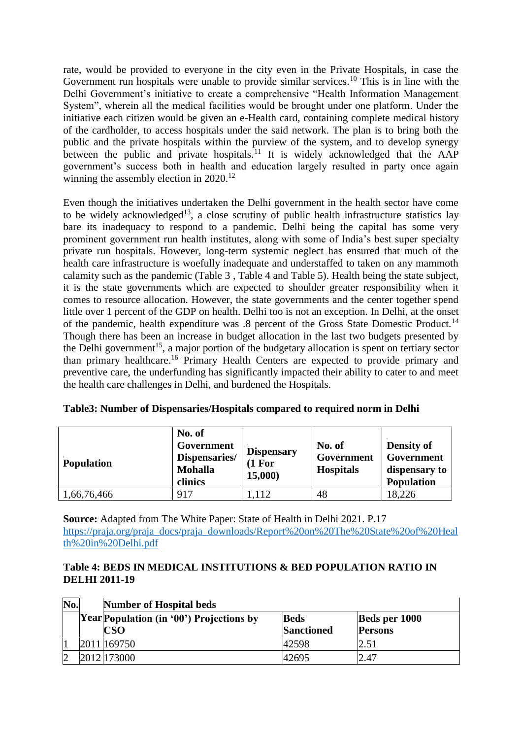rate, would be provided to everyone in the city even in the Private Hospitals, in case the Government run hospitals were unable to provide similar services.<sup>10</sup> This is in line with the Delhi Government's initiative to create a comprehensive "Health Information Management System", wherein all the medical facilities would be brought under one platform. Under the initiative each citizen would be given an e-Health card, containing complete medical history of the cardholder, to access hospitals under the said network. The plan is to bring both the public and the private hospitals within the purview of the system, and to develop synergy between the public and private hospitals.<sup>11</sup> It is widely acknowledged that the  $\overrightarrow{AP}$ government's success both in health and education largely resulted in party once again winning the assembly election in 2020.<sup>12</sup>

Even though the initiatives undertaken the Delhi government in the health sector have come to be widely acknowledged<sup>13</sup>, a close scrutiny of public health infrastructure statistics lay bare its inadequacy to respond to a pandemic. Delhi being the capital has some very prominent government run health institutes, along with some of India's best super specialty private run hospitals. However, long-term systemic neglect has ensured that much of the health care infrastructure is woefully inadequate and understaffed to taken on any mammoth calamity such as the pandemic (Table 3 , Table 4 and Table 5). Health being the state subject, it is the state governments which are expected to shoulder greater responsibility when it comes to resource allocation. However, the state governments and the center together spend little over 1 percent of the GDP on health. Delhi too is not an exception. In Delhi, at the onset of the pandemic, health expenditure was .8 percent of the Gross State Domestic Product.<sup>14</sup> Though there has been an increase in budget allocation in the last two budgets presented by the Delhi government<sup>15</sup>, a major portion of the budgetary allocation is spent on tertiary sector than primary healthcare.<sup>16</sup> Primary Health Centers are expected to provide primary and preventive care, the underfunding has significantly impacted their ability to cater to and meet the health care challenges in Delhi, and burdened the Hospitals.

| <b>Population</b> | No. of<br>Government<br>Dispensaries/<br><b>Mohalla</b><br>clinics | <b>Dispensary</b><br>(1 For<br>15,000 | No. of<br>Government<br><b>Hospitals</b> | <b>Density of</b><br>Government<br>dispensary to<br><b>Population</b> |
|-------------------|--------------------------------------------------------------------|---------------------------------------|------------------------------------------|-----------------------------------------------------------------------|
| 1,66,76,466       | 917                                                                | .112                                  | 48                                       | 18,226                                                                |

| Table3: Number of Dispensaries/Hospitals compared to required norm in Delhi |  |  |
|-----------------------------------------------------------------------------|--|--|
|                                                                             |  |  |

**Source:** Adapted from The White Paper: State of Health in Delhi 2021. P.17 [https://praja.org/praja\\_docs/praja\\_downloads/Report%20on%20The%20State%20of%20Heal](https://praja.org/praja_docs/praja_downloads/Report%20on%20The%20State%20of%20Health%20in%20Delhi.pdf) [th%20in%20Delhi.pdf](https://praja.org/praja_docs/praja_downloads/Report%20on%20The%20State%20of%20Health%20in%20Delhi.pdf)

# **Table 4: BEDS IN MEDICAL INSTITUTIONS & BED POPULATION RATIO IN DELHI 2011-19**

| No. | <b>Number of Hospital beds</b>                  |                   |                |  |  |  |  |  |  |  |
|-----|-------------------------------------------------|-------------------|----------------|--|--|--|--|--|--|--|
|     | <b>Year Population (in '00') Projections by</b> | <b>Beds</b>       | Beds per 1000  |  |  |  |  |  |  |  |
|     | <b>CSO</b>                                      | <b>Sanctioned</b> | <b>Persons</b> |  |  |  |  |  |  |  |
|     | 2011 169750                                     | 42598             | 2.51           |  |  |  |  |  |  |  |
|     | 2012 173000                                     | 42695             | 2.47           |  |  |  |  |  |  |  |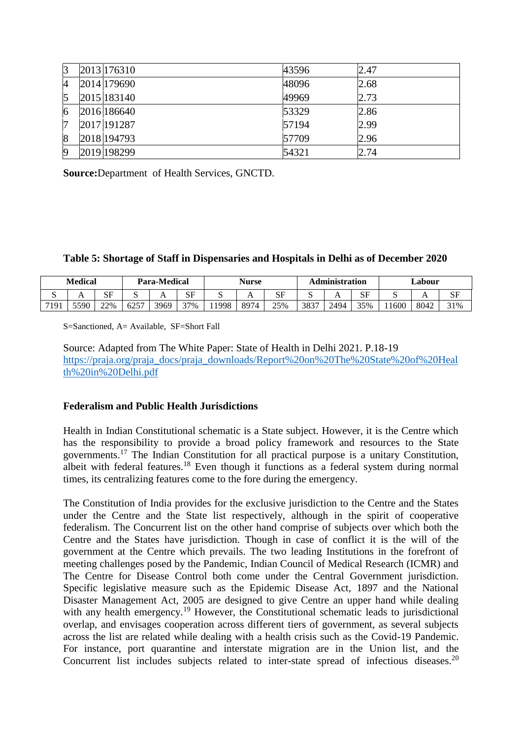| 3 | 2013 176310 | 43596 | 2.47 |
|---|-------------|-------|------|
| 4 | 2014 179690 | 48096 | 2.68 |
| 5 | 2015 183140 | 49969 | 2.73 |
| 6 | 2016 186640 | 53329 | 2.86 |
| 7 | 2017 191287 | 57194 | 2.99 |
| 8 | 2018 194793 | 57709 | 2.96 |
| 9 | 2019 198299 | 54321 | 2.74 |

**Source:**Department of Health Services, GNCTD.

## **Table 5: Shortage of Staff in Dispensaries and Hospitals in Delhi as of December 2020**

| <b>Medical</b>   |                | Para-Medical |               |              | Nurse                 |      | <b>Administration</b> |     | ∟abour |      |     |      |      |     |
|------------------|----------------|--------------|---------------|--------------|-----------------------|------|-----------------------|-----|--------|------|-----|------|------|-----|
| ມ                | $\overline{ }$ | SЕ<br>ື      | ັ             | $\mathbf{L}$ | $C\overline{E}$<br>ນ⊥ | ັ    |                       | SF  |        |      | SF  | ω    | . .  | ΩI  |
| 710 <sup>1</sup> | 5590           | 22%          | $625^{\circ}$ | 3969         | 37%                   | 1998 | 8974                  | 25% | 3837   | 2494 | 35% | 1600 | 8042 | 31% |

S=Sanctioned, A= Available, SF=Short Fall

Source: Adapted from The White Paper: State of Health in Delhi 2021. P.18-19 [https://praja.org/praja\\_docs/praja\\_downloads/Report%20on%20The%20State%20of%20Heal](https://praja.org/praja_docs/praja_downloads/Report%20on%20The%20State%20of%20Health%20in%20Delhi.pdf) [th%20in%20Delhi.pdf](https://praja.org/praja_docs/praja_downloads/Report%20on%20The%20State%20of%20Health%20in%20Delhi.pdf)

## **Federalism and Public Health Jurisdictions**

Health in Indian Constitutional schematic is a State subject. However, it is the Centre which has the responsibility to provide a broad policy framework and resources to the State governments.<sup>17</sup> The Indian Constitution for all practical purpose is a unitary Constitution, albeit with federal features.<sup>18</sup> Even though it functions as a federal system during normal times, its centralizing features come to the fore during the emergency.

The Constitution of India provides for the exclusive jurisdiction to the Centre and the States under the Centre and the State list respectively, although in the spirit of cooperative federalism. The Concurrent list on the other hand comprise of subjects over which both the Centre and the States have jurisdiction. Though in case of conflict it is the will of the government at the Centre which prevails. The two leading Institutions in the forefront of meeting challenges posed by the Pandemic, Indian Council of Medical Research (ICMR) and The Centre for Disease Control both come under the Central Government jurisdiction. Specific legislative measure such as the Epidemic Disease Act, 1897 and the National Disaster Management Act, 2005 are designed to give Centre an upper hand while dealing with any health emergency.<sup>19</sup> However, the Constitutional schematic leads to jurisdictional overlap, and envisages cooperation across different tiers of government, as several subjects across the list are related while dealing with a health crisis such as the Covid-19 Pandemic. For instance, port quarantine and interstate migration are in the Union list, and the Concurrent list includes subjects related to inter-state spread of infectious diseases.<sup>20</sup>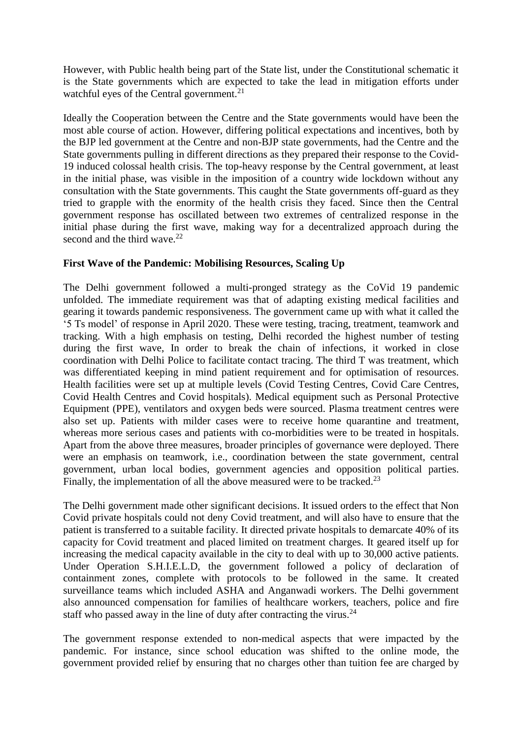However, with Public health being part of the State list, under the Constitutional schematic it is the State governments which are expected to take the lead in mitigation efforts under watchful eyes of the Central government.<sup>21</sup>

Ideally the Cooperation between the Centre and the State governments would have been the most able course of action. However, differing political expectations and incentives, both by the BJP led government at the Centre and non-BJP state governments, had the Centre and the State governments pulling in different directions as they prepared their response to the Covid-19 induced colossal health crisis. The top-heavy response by the Central government, at least in the initial phase, was visible in the imposition of a country wide lockdown without any consultation with the State governments. This caught the State governments off-guard as they tried to grapple with the enormity of the health crisis they faced. Since then the Central government response has oscillated between two extremes of centralized response in the initial phase during the first wave, making way for a decentralized approach during the second and the third wave. $22$ 

# **First Wave of the Pandemic: Mobilising Resources, Scaling Up**

The Delhi government followed a multi-pronged strategy as the CoVid 19 pandemic unfolded. The immediate requirement was that of adapting existing medical facilities and gearing it towards pandemic responsiveness. The government came up with what it called the '5 Ts model' of response in April 2020. These were testing, tracing, treatment, teamwork and tracking. With a high emphasis on testing, Delhi recorded the highest number of testing during the first wave, In order to break the chain of infections, it worked in close coordination with Delhi Police to facilitate contact tracing. The third T was treatment, which was differentiated keeping in mind patient requirement and for optimisation of resources. Health facilities were set up at multiple levels (Covid Testing Centres, Covid Care Centres, Covid Health Centres and Covid hospitals). Medical equipment such as Personal Protective Equipment (PPE), ventilators and oxygen beds were sourced. Plasma treatment centres were also set up. Patients with milder cases were to receive home quarantine and treatment, whereas more serious cases and patients with co-morbidities were to be treated in hospitals. Apart from the above three measures, broader principles of governance were deployed. There were an emphasis on teamwork, i.e., coordination between the state government, central government, urban local bodies, government agencies and opposition political parties. Finally, the implementation of all the above measured were to be tracked.<sup>23</sup>

The Delhi government made other significant decisions. It issued orders to the effect that Non Covid private hospitals could not deny Covid treatment, and will also have to ensure that the patient is transferred to a suitable facility. It directed private hospitals to demarcate 40% of its capacity for Covid treatment and placed limited on treatment charges. It geared itself up for increasing the medical capacity available in the city to deal with up to 30,000 active patients. Under Operation S.H.I.E.L.D, the government followed a policy of declaration of containment zones, complete with protocols to be followed in the same. It created surveillance teams which included ASHA and Anganwadi workers. The Delhi government also announced compensation for families of healthcare workers, teachers, police and fire staff who passed away in the line of duty after contracting the virus. $24$ 

The government response extended to non-medical aspects that were impacted by the pandemic. For instance, since school education was shifted to the online mode, the government provided relief by ensuring that no charges other than tuition fee are charged by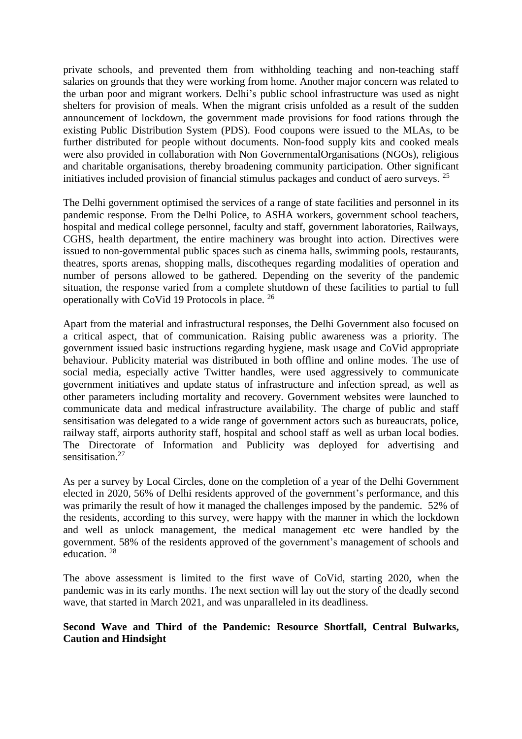private schools, and prevented them from withholding teaching and non-teaching staff salaries on grounds that they were working from home. Another major concern was related to the urban poor and migrant workers. Delhi's public school infrastructure was used as night shelters for provision of meals. When the migrant crisis unfolded as a result of the sudden announcement of lockdown, the government made provisions for food rations through the existing Public Distribution System (PDS). Food coupons were issued to the MLAs, to be further distributed for people without documents. Non-food supply kits and cooked meals were also provided in collaboration with Non GovernmentalOrganisations (NGOs), religious and charitable organisations, thereby broadening community participation. Other significant initiatives included provision of financial stimulus packages and conduct of aero surveys. <sup>25</sup>

The Delhi government optimised the services of a range of state facilities and personnel in its pandemic response. From the Delhi Police, to ASHA workers, government school teachers, hospital and medical college personnel, faculty and staff, government laboratories, Railways, CGHS, health department, the entire machinery was brought into action. Directives were issued to non-governmental public spaces such as cinema halls, swimming pools, restaurants, theatres, sports arenas, shopping malls, discotheques regarding modalities of operation and number of persons allowed to be gathered. Depending on the severity of the pandemic situation, the response varied from a complete shutdown of these facilities to partial to full operationally with CoVid 19 Protocols in place. <sup>26</sup>

Apart from the material and infrastructural responses, the Delhi Government also focused on a critical aspect, that of communication. Raising public awareness was a priority. The government issued basic instructions regarding hygiene, mask usage and CoVid appropriate behaviour. Publicity material was distributed in both offline and online modes. The use of social media, especially active Twitter handles, were used aggressively to communicate government initiatives and update status of infrastructure and infection spread, as well as other parameters including mortality and recovery. Government websites were launched to communicate data and medical infrastructure availability. The charge of public and staff sensitisation was delegated to a wide range of government actors such as bureaucrats, police, railway staff, airports authority staff, hospital and school staff as well as urban local bodies. The Directorate of Information and Publicity was deployed for advertising and sensitisation.<sup>27</sup>

As per a survey by Local Circles, done on the completion of a year of the Delhi Government elected in 2020, 56% of Delhi residents approved of the government's performance, and this was primarily the result of how it managed the challenges imposed by the pandemic. 52% of the residents, according to this survey, were happy with the manner in which the lockdown and well as unlock management, the medical management etc were handled by the government. 58% of the residents approved of the government's management of schools and education. <sup>28</sup>

The above assessment is limited to the first wave of CoVid, starting 2020, when the pandemic was in its early months. The next section will lay out the story of the deadly second wave, that started in March 2021, and was unparalleled in its deadliness.

# **Second Wave and Third of the Pandemic: Resource Shortfall, Central Bulwarks, Caution and Hindsight**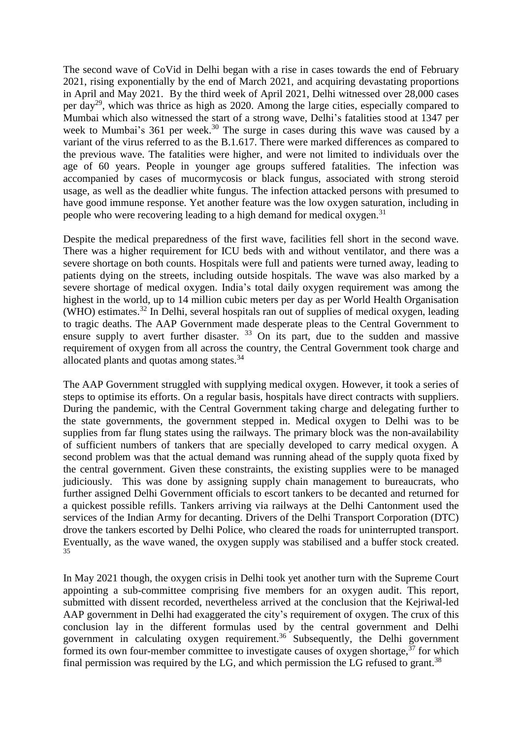The second wave of CoVid in Delhi began with a rise in cases towards the end of February 2021, rising exponentially by the end of March 2021, and acquiring devastating proportions in April and May 2021. By the third week of April 2021, Delhi witnessed over 28,000 cases per day<sup>29</sup>, which was thrice as high as 2020. Among the large cities, especially compared to Mumbai which also witnessed the start of a strong wave, Delhi's fatalities stood at 1347 per week to Mumbai's  $361$  per week.<sup>30</sup> The surge in cases during this wave was caused by a variant of the virus referred to as the B.1.617. There were marked differences as compared to the previous wave. The fatalities were higher, and were not limited to individuals over the age of 60 years. People in younger age groups suffered fatalities. The infection was accompanied by cases of mucormycosis or black fungus, associated with strong steroid usage, as well as the deadlier white fungus. The infection attacked persons with presumed to have good immune response. Yet another feature was the low oxygen saturation, including in people who were recovering leading to a high demand for medical oxygen.<sup>31</sup>

Despite the medical preparedness of the first wave, facilities fell short in the second wave. There was a higher requirement for ICU beds with and without ventilator, and there was a severe shortage on both counts. Hospitals were full and patients were turned away, leading to patients dying on the streets, including outside hospitals. The wave was also marked by a severe shortage of medical oxygen. India's total daily oxygen requirement was among the highest in the world, up to 14 million cubic meters per day as per World Health Organisation (WHO) estimates.<sup>32</sup> In Delhi, several hospitals ran out of supplies of medical oxygen, leading to tragic deaths. The AAP Government made desperate pleas to the Central Government to ensure supply to avert further disaster.  $33$  On its part, due to the sudden and massive requirement of oxygen from all across the country, the Central Government took charge and allocated plants and quotas among states.<sup>34</sup>

The AAP Government struggled with supplying medical oxygen. However, it took a series of steps to optimise its efforts. On a regular basis, hospitals have direct contracts with suppliers. During the pandemic, with the Central Government taking charge and delegating further to the state governments, the government stepped in. Medical oxygen to Delhi was to be supplies from far flung states using the railways. The primary block was the non-availability of sufficient numbers of tankers that are specially developed to carry medical oxygen. A second problem was that the actual demand was running ahead of the supply quota fixed by the central government. Given these constraints, the existing supplies were to be managed judiciously. This was done by assigning supply chain management to bureaucrats, who further assigned Delhi Government officials to escort tankers to be decanted and returned for a quickest possible refills. Tankers arriving via railways at the Delhi Cantonment used the services of the Indian Army for decanting. Drivers of the Delhi Transport Corporation (DTC) drove the tankers escorted by Delhi Police, who cleared the roads for uninterrupted transport. Eventually, as the wave waned, the oxygen supply was stabilised and a buffer stock created. 35

In May 2021 though, the oxygen crisis in Delhi took yet another turn with the Supreme Court appointing a sub-committee comprising five members for an oxygen audit. This report, submitted with dissent recorded, nevertheless arrived at the conclusion that the Kejriwal-led AAP government in Delhi had exaggerated the city's requirement of oxygen. The crux of this conclusion lay in the different formulas used by the central government and Delhi government in calculating oxygen requirement.<sup>36</sup> Subsequently, the Delhi government formed its own four-member committee to investigate causes of oxygen shortage,  $37$  for which final permission was required by the LG, and which permission the LG refused to grant.<sup>38</sup>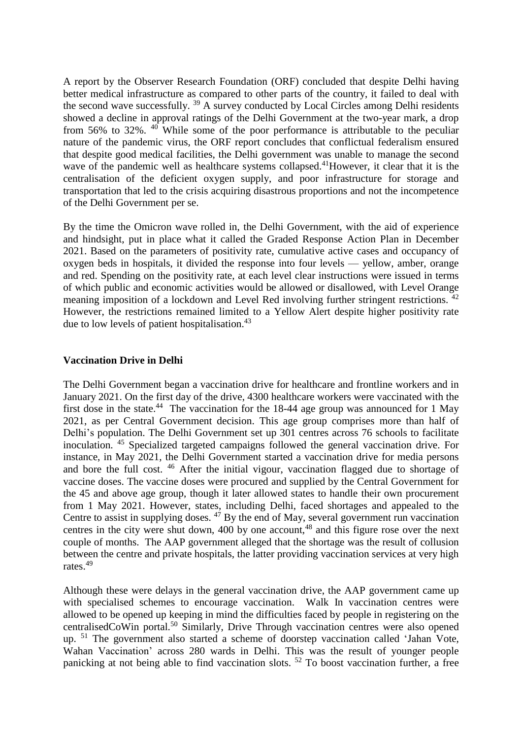A report by the Observer Research Foundation (ORF) concluded that despite Delhi having better medical infrastructure as compared to other parts of the country, it failed to deal with the second wave successfully. <sup>39</sup> A survey conducted by Local Circles among Delhi residents showed a decline in approval ratings of the Delhi Government at the two-year mark, a drop from 56% to 32%. <sup>40</sup> While some of the poor performance is attributable to the peculiar nature of the pandemic virus, the ORF report concludes that conflictual federalism ensured that despite good medical facilities, the Delhi government was unable to manage the second wave of the pandemic well as healthcare systems collapsed.<sup>41</sup>However, it clear that it is the centralisation of the deficient oxygen supply, and poor infrastructure for storage and transportation that led to the crisis acquiring disastrous proportions and not the incompetence of the Delhi Government per se.

By the time the Omicron wave rolled in, the Delhi Government, with the aid of experience and hindsight, put in place what it called the Graded Response Action Plan in December 2021. Based on the parameters of positivity rate, cumulative active cases and occupancy of oxygen beds in hospitals, it divided the response into four levels — yellow, amber, orange and red. Spending on the positivity rate, at each level clear instructions were issued in terms of which public and economic activities would be allowed or disallowed, with Level Orange meaning imposition of a lockdown and Level Red involving further stringent restrictions. <sup>42</sup> However, the restrictions remained limited to a Yellow Alert despite higher positivity rate due to low levels of patient hospitalisation.<sup>43</sup>

#### **Vaccination Drive in Delhi**

The Delhi Government began a vaccination drive for healthcare and frontline workers and in January 2021. On the first day of the drive, 4300 healthcare workers were vaccinated with the first dose in the state.<sup>44</sup> The vaccination for the 18-44 age group was announced for 1 May 2021, as per Central Government decision. This age group comprises more than half of Delhi's population. The Delhi Government set up 301 centres across 76 schools to facilitate inoculation. <sup>45</sup> Specialized targeted campaigns followed the general vaccination drive. For instance, in May 2021, the Delhi Government started a vaccination drive for media persons and bore the full cost. <sup>46</sup> After the initial vigour, vaccination flagged due to shortage of vaccine doses. The vaccine doses were procured and supplied by the Central Government for the 45 and above age group, though it later allowed states to handle their own procurement from 1 May 2021. However, states, including Delhi, faced shortages and appealed to the Centre to assist in supplying doses. <sup>47</sup> By the end of May, several government run vaccination centres in the city were shut down,  $400$  by one account,  $48$  and this figure rose over the next couple of months. The AAP government alleged that the shortage was the result of collusion between the centre and private hospitals, the latter providing vaccination services at very high rates.<sup>49</sup>

Although these were delays in the general vaccination drive, the AAP government came up with specialised schemes to encourage vaccination. Walk In vaccination centres were allowed to be opened up keeping in mind the difficulties faced by people in registering on the centralisedCoWin portal.<sup>50</sup> Similarly, Drive Through vaccination centres were also opened up. <sup>51</sup> The government also started a scheme of doorstep vaccination called 'Jahan Vote, Wahan Vaccination' across 280 wards in Delhi. This was the result of younger people panicking at not being able to find vaccination slots. <sup>52</sup> To boost vaccination further, a free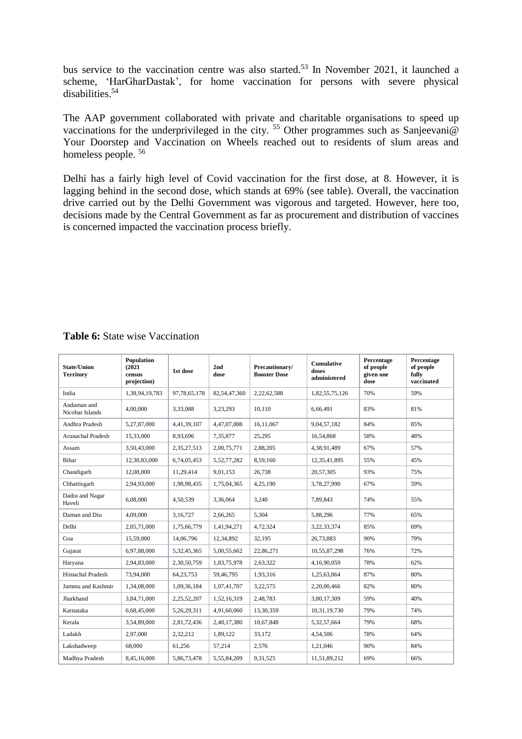bus service to the vaccination centre was also started.<sup>53</sup> In November 2021, it launched a scheme, 'HarGharDastak', for home vaccination for persons with severe physical disabilities.<sup>54</sup>

The AAP government collaborated with private and charitable organisations to speed up vaccinations for the underprivileged in the city. <sup>55</sup> Other programmes such as Sanjeevani@ Your Doorstep and Vaccination on Wheels reached out to residents of slum areas and homeless people. <sup>56</sup>

Delhi has a fairly high level of Covid vaccination for the first dose, at 8. However, it is lagging behind in the second dose, which stands at 69% (see table). Overall, the vaccination drive carried out by the Delhi Government was vigorous and targeted. However, here too, decisions made by the Central Government as far as procurement and distribution of vaccines is concerned impacted the vaccination process briefly.

| <b>State/Union</b><br><b>Territory</b> | Population<br>(2021)<br>census<br>projection) | 1st dose     | 2nd<br>dose  | Precautionary/<br><b>Booster Dose</b> | <b>Cumulative</b><br>doses<br>administered | Percentage<br>of people<br>given one<br>dose | Percentage<br>of people<br>fully<br>vaccinated |
|----------------------------------------|-----------------------------------------------|--------------|--------------|---------------------------------------|--------------------------------------------|----------------------------------------------|------------------------------------------------|
| India                                  | 1,38,94,19,783                                | 97,78,65,178 | 82,54,47,360 | 2,22,62,588                           | 1,82,55,75,126                             | 70%                                          | 59%                                            |
| Andaman and<br>Nicobar Islands         | 4,00,000                                      | 3,33,088     | 3,23,293     | 10.110                                | 6.66.491                                   | 83%                                          | 81%                                            |
| Andhra Pradesh                         | 5,27,87,000                                   | 4,41,39,107  | 4,47,07,008  | 16.11.067                             | 9,04,57,182                                | 84%                                          | 85%                                            |
| Arunachal Pradesh                      | 15,33,000                                     | 8,93,696     | 7,35,877     | 25,295                                | 16,54,868                                  | 58%                                          | 48%                                            |
| Assam                                  | 3,50,43,000                                   | 2,35,27,513  | 2,00,75,771  | 2,88,205                              | 4,38,91,489                                | 67%                                          | 57%                                            |
| Bihar                                  | 12,30,83,000                                  | 6,74,05,453  | 5,52,77,282  | 8,59,160                              | 12,35,41,895                               | 55%                                          | 45%                                            |
| Chandigarh                             | 12,08,000                                     | 11,29,414    | 9,01,153     | 26,738                                | 20,57,305                                  | 93%                                          | 75%                                            |
| Chhattisgarh                           | 2,94,93,000                                   | 1,98,98,435  | 1,75,04,365  | 4,25,190                              | 3,78,27,990                                | 67%                                          | 59%                                            |
| Dadra and Nagar<br>Haveli              | 6.08.000                                      | 4,50,539     | 3.36.064     | 3.240                                 | 7.89.843                                   | 74%                                          | 55%                                            |
| Daman and Diu                          | 4.09.000                                      | 3.16.727     | 2.66.265     | 5.304                                 | 5.88.296                                   | 77%                                          | 65%                                            |
| Delhi                                  | 2,05,71,000                                   | 1,75,66,779  | 1,41,94,271  | 4,72,324                              | 3,22,33,374                                | 85%                                          | 69%                                            |
| Goa                                    | 15,59,000                                     | 14,06,796    | 12,34,892    | 32,195                                | 26,73,883                                  | 90%                                          | 79%                                            |
| Gujarat                                | 6,97,88,000                                   | 5,32,45,365  | 5,00,55,662  | 22,86,271                             | 10,55,87,298                               | 76%                                          | 72%                                            |
| Haryana                                | 2,94,83,000                                   | 2,30,50,759  | 1,83,75,978  | 2,63,322                              | 4,16,90,059                                | 78%                                          | 62%                                            |
| Himachal Pradesh                       | 73,94,000                                     | 64, 23, 753  | 59,46,795    | 1,93,316                              | 1,25,63,864                                | 87%                                          | 80%                                            |
| Jammu and Kashmir                      | 1,34,08,000                                   | 1,09,36,184  | 1,07,41,707  | 3,22,575                              | 2,20,00,466                                | 82%                                          | 80%                                            |
| Jharkhand                              | 3,84,71,000                                   | 2,25,52,207  | 1,52,16,319  | 2,48,783                              | 3,80,17,309                                | 59%                                          | 40%                                            |
| Karnataka                              | 6,68,45,000                                   | 5,26,29,311  | 4,91,60,060  | 13,30,359                             | 10,31,19,730                               | 79%                                          | 74%                                            |
| Kerala                                 | 3,54,89,000                                   | 2,81,72,436  | 2,40,17,380  | 10.67.848                             | 5,32,57,664                                | 79%                                          | 68%                                            |
| Ladakh                                 | 2,97,000                                      | 2,32,212     | 1,89,122     | 33,172                                | 4,54,506                                   | 78%                                          | 64%                                            |
| Lakshadweep                            | 68,000                                        | 61,256       | 57,214       | 2,576                                 | 1,21,046                                   | 90%                                          | 84%                                            |
| Madhya Pradesh                         | 8,45,16,000                                   | 5,86,73,478  | 5,55,84,209  | 9,31,525                              | 11,51,89,212                               | 69%                                          | 66%                                            |

# **Table 6:** State wise Vaccination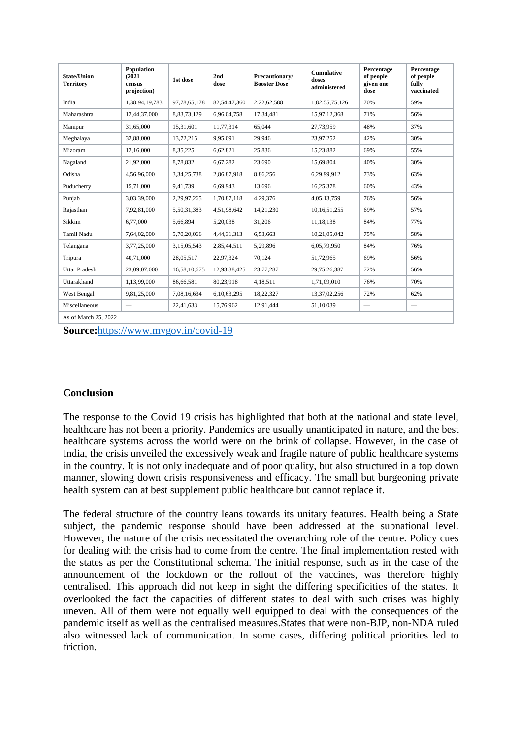| State/Union<br><b>Territory</b> | Population<br>(2021)<br>census<br>projection) | 1st dose       | 2nd<br>dose    | Precautionary/<br><b>Booster Dose</b> | <b>Cumulative</b><br>doses<br>administered | Percentage<br>of people<br>given one<br>dose | Percentage<br>of people<br>fully<br>vaccinated |
|---------------------------------|-----------------------------------------------|----------------|----------------|---------------------------------------|--------------------------------------------|----------------------------------------------|------------------------------------------------|
| India                           | 1,38,94,19,783                                | 97,78,65,178   | 82,54,47,360   | 2,22,62,588                           | 1,82,55,75,126                             | 70%                                          | 59%                                            |
| Maharashtra                     | 12,44,37,000                                  | 8,83,73,129    | 6,96,04,758    | 17,34,481                             | 15,97,12,368                               | 71%                                          | 56%                                            |
| Manipur                         | 31,65,000                                     | 15,31,601      | 11,77,314      | 65,044                                | 27,73,959                                  | 48%                                          | 37%                                            |
| Meghalaya                       | 32,88,000                                     | 13,72,215      | 9,95,091       | 29,946                                | 23,97,252                                  | 42%                                          | 30%                                            |
| Mizoram                         | 12,16,000                                     | 8,35,225       | 6,62,821       | 25,836                                | 15,23,882                                  | 69%                                          | 55%                                            |
| Nagaland                        | 21,92,000                                     | 8,78,832       | 6,67,282       | 23,690                                | 15,69,804                                  | 40%                                          | 30%                                            |
| Odisha                          | 4.56.96.000                                   | 3, 34, 25, 738 | 2,86,87,918    | 8,86,256                              | 6,29,99,912                                | 73%                                          | 63%                                            |
| Puducherry                      | 15,71,000                                     | 9,41,739       | 6,69,943       | 13.696                                | 16,25,378                                  | 60%                                          | 43%                                            |
| Punjab                          | 3,03,39,000                                   | 2,29,97,265    | 1,70,87,118    | 4,29,376                              | 4,05,13,759                                | 76%                                          | 56%                                            |
| Rajasthan                       | 7.92.81.000                                   | 5,50,31,383    | 4.51.98.642    | 14,21,230                             | 10, 16, 51, 255                            | 69%                                          | 57%                                            |
| Sikkim                          | 6,77,000                                      | 5,66,894       | 5,20,038       | 31,206                                | 11,18,138                                  | 84%                                          | 77%                                            |
| Tamil Nadu                      | 7,64,02,000                                   | 5,70,20,066    | 4, 44, 31, 313 | 6,53,663                              | 10,21,05,042                               | 75%                                          | 58%                                            |
| Telangana                       | 3,77,25,000                                   | 3,15,05,543    | 2,85,44,511    | 5,29,896                              | 6,05,79,950                                | 84%                                          | 76%                                            |
| Tripura                         | 40.71.000                                     | 28,05,517      | 22,97,324      | 70.124                                | 51,72,965                                  | 69%                                          | 56%                                            |
| <b>Uttar Pradesh</b>            | 23,09,07,000                                  | 16,58,10,675   | 12,93,38,425   | 23,77,287                             | 29,75,26,387                               | 72%                                          | 56%                                            |
| Uttarakhand                     | 1,13,99,000                                   | 86,66,581      | 80,23,918      | 4,18,511                              | 1,71,09,010                                | 76%                                          | 70%                                            |
| West Bengal                     | 9,81,25,000                                   | 7,08,16,634    | 6,10,63,295    | 18,22,327                             | 13,37,02,256                               | 72%                                          | 62%                                            |
| Miscellaneous                   | $\overline{\phantom{m}}$                      | 22,41,633      | 15,76,962      | 12,91,444                             | 51.10.039                                  | $\overline{\phantom{m}}$                     | $\overline{\phantom{m}}$                       |
| As of March 25, 2022            |                                               |                |                |                                       |                                            |                                              |                                                |

**Source:**<https://www.mygov.in/covid-19>

## **Conclusion**

The response to the Covid 19 crisis has highlighted that both at the national and state level, healthcare has not been a priority. Pandemics are usually unanticipated in nature, and the best healthcare systems across the world were on the brink of collapse. However, in the case of India, the crisis unveiled the excessively weak and fragile nature of public healthcare systems in the country. It is not only inadequate and of poor quality, but also structured in a top down manner, slowing down crisis responsiveness and efficacy. The small but burgeoning private health system can at best supplement public healthcare but cannot replace it.

The federal structure of the country leans towards its unitary features. Health being a State subject, the pandemic response should have been addressed at the subnational level. However, the nature of the crisis necessitated the overarching role of the centre. Policy cues for dealing with the crisis had to come from the centre. The final implementation rested with the states as per the Constitutional schema. The initial response, such as in the case of the announcement of the lockdown or the rollout of the vaccines, was therefore highly centralised. This approach did not keep in sight the differing specificities of the states. It overlooked the fact the capacities of different states to deal with such crises was highly uneven. All of them were not equally well equipped to deal with the consequences of the pandemic itself as well as the centralised measures.States that were non-BJP, non-NDA ruled also witnessed lack of communication. In some cases, differing political priorities led to friction.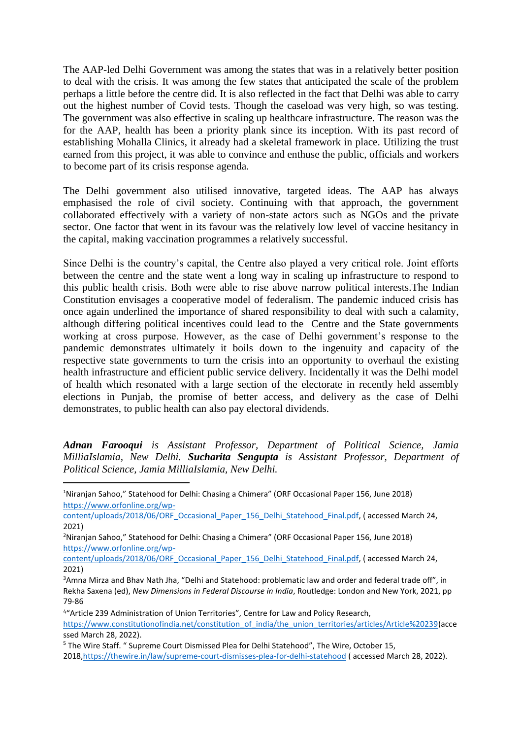The AAP-led Delhi Government was among the states that was in a relatively better position to deal with the crisis. It was among the few states that anticipated the scale of the problem perhaps a little before the centre did. It is also reflected in the fact that Delhi was able to carry out the highest number of Covid tests. Though the caseload was very high, so was testing. The government was also effective in scaling up healthcare infrastructure. The reason was the for the AAP, health has been a priority plank since its inception. With its past record of establishing Mohalla Clinics, it already had a skeletal framework in place. Utilizing the trust earned from this project, it was able to convince and enthuse the public, officials and workers to become part of its crisis response agenda.

The Delhi government also utilised innovative, targeted ideas. The AAP has always emphasised the role of civil society. Continuing with that approach, the government collaborated effectively with a variety of non-state actors such as NGOs and the private sector. One factor that went in its favour was the relatively low level of vaccine hesitancy in the capital, making vaccination programmes a relatively successful.

Since Delhi is the country's capital, the Centre also played a very critical role. Joint efforts between the centre and the state went a long way in scaling up infrastructure to respond to this public health crisis. Both were able to rise above narrow political interests.The Indian Constitution envisages a cooperative model of federalism. The pandemic induced crisis has once again underlined the importance of shared responsibility to deal with such a calamity, although differing political incentives could lead to the Centre and the State governments working at cross purpose. However, as the case of Delhi government's response to the pandemic demonstrates ultimately it boils down to the ingenuity and capacity of the respective state governments to turn the crisis into an opportunity to overhaul the existing health infrastructure and efficient public service delivery. Incidentally it was the Delhi model of health which resonated with a large section of the electorate in recently held assembly elections in Punjab, the promise of better access, and delivery as the case of Delhi demonstrates, to public health can also pay electoral dividends.

*Adnan Farooqui is Assistant Professor, Department of Political Science, Jamia MilliaIslamia, New Delhi. Sucharita Sengupta is Assistant Professor, Department of Political Science, Jamia MilliaIslamia, New Delhi.* 

l <sup>1</sup>Niranjan Sahoo," Statehood for Delhi: Chasing a Chimera" (ORF Occasional Paper 156, June 2018) [https://www.orfonline.org/wp-](https://www.orfonline.org/wp-content/uploads/2018/06/ORF_Occasional_Paper_156_Delhi_Statehood_Final.pdf)

[content/uploads/2018/06/ORF\\_Occasional\\_Paper\\_156\\_Delhi\\_Statehood\\_Final.pdf,](https://www.orfonline.org/wp-content/uploads/2018/06/ORF_Occasional_Paper_156_Delhi_Statehood_Final.pdf) ( accessed March 24, 2021)

<sup>2</sup>Niranjan Sahoo," Statehood for Delhi: Chasing a Chimera" (ORF Occasional Paper 156, June 2018) [https://www.orfonline.org/wp-](https://www.orfonline.org/wp-content/uploads/2018/06/ORF_Occasional_Paper_156_Delhi_Statehood_Final.pdf)

[content/uploads/2018/06/ORF\\_Occasional\\_Paper\\_156\\_Delhi\\_Statehood\\_Final.pdf,](https://www.orfonline.org/wp-content/uploads/2018/06/ORF_Occasional_Paper_156_Delhi_Statehood_Final.pdf) ( accessed March 24, 2021)

<sup>&</sup>lt;sup>3</sup>Amna Mirza and Bhav Nath Jha, "Delhi and Statehood: problematic law and order and federal trade off", in Rekha Saxena (ed), *New Dimensions in Federal Discourse in India*, Routledge: London and New York, 2021, pp 79-86

<sup>4</sup> "Article 239 Administration of Union Territories", Centre for Law and Policy Research,

[https://www.constitutionofindia.net/constitution\\_of\\_india/the\\_union\\_territories/articles/Article%20239\(](https://www.constitutionofindia.net/constitution_of_india/the_union_territories/articles/Article%20239)acce ssed March 28, 2022).

<sup>5</sup> The Wire Staff. " Supreme Court Dismissed Plea for Delhi Statehood", The Wire, October 15,

<sup>2018</sup>[,https://thewire.in/law/supreme-court-dismisses-plea-for-delhi-statehood](https://thewire.in/law/supreme-court-dismisses-plea-for-delhi-statehood) ( accessed March 28, 2022).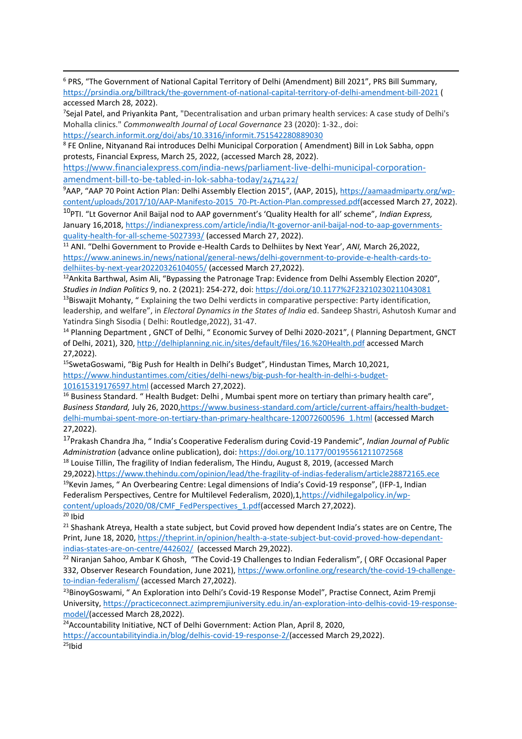i <sup>6</sup> PRS, "The Government of National Capital Territory of Delhi (Amendment) Bill 2021", PRS Bill Summary, <https://prsindia.org/billtrack/the-government-of-national-capital-territory-of-delhi-amendment-bill-2021> ( accessed March 28, 2022).

7 Sejal Patel, and Priyankita Pant, "Decentralisation and urban primary health services: A case study of Delhi's Mohalla clinics." *Commonwealth Journal of Local Governance* 23 (2020): 1-32., doi: <https://search.informit.org/doi/abs/10.3316/informit.751542280889030>

8 FE Online, Nityanand Rai introduces Delhi Municipal Corporation ( Amendment) Bill in Lok Sabha, oppn protests, Financial Express, March 25, 2022, (accessed March 28, 2022).

[https://www.financialexpress.com/india-news/parliament-live-delhi-municipal-corporation](https://www.financialexpress.com/india-news/parliament-live-delhi-municipal-corporation-amendment-bill-to-be-tabled-in-lok-sabha-today/2471422/)[amendment-bill-to-be-tabled-in-lok-sabha-today/2471422/](https://www.financialexpress.com/india-news/parliament-live-delhi-municipal-corporation-amendment-bill-to-be-tabled-in-lok-sabha-today/2471422/)

9AAP, "AAP 70 Point Action Plan: Delhi Assembly Election 2015", (AAP, 2015), [https://aamaadmiparty.org/wp](https://aamaadmiparty.org/wp-content/uploads/2017/10/AAP-Manifesto-2015_70-Pt-Action-Plan.compressed.pdf)[content/uploads/2017/10/AAP-Manifesto-2015\\_70-Pt-Action-Plan.compressed.pdf\(](https://aamaadmiparty.org/wp-content/uploads/2017/10/AAP-Manifesto-2015_70-Pt-Action-Plan.compressed.pdf)accessed March 27, 2022).

<sup>10</sup>PTI. "Lt Governor Anil Baijal nod to AAP government's 'Quality Health for all' scheme", *Indian Express,* January 16,2018, [https://indianexpress.com/article/india/lt-governor-anil-baijal-nod-to-aap-governments](https://indianexpress.com/article/india/lt-governor-anil-baijal-nod-to-aap-governments-quality-health-for-all-scheme-5027393/)[quality-health-for-all-scheme-5027393/](https://indianexpress.com/article/india/lt-governor-anil-baijal-nod-to-aap-governments-quality-health-for-all-scheme-5027393/) (accessed March 27, 2022).

<sup>11</sup> ANI. "Delhi Government to Provide e-Health Cards to Delhiites by Next Year', *ANI,* March 26,2022, [https://www.aninews.in/news/national/general-news/delhi-government-to-provide-e-health-cards-to](https://www.aninews.in/news/national/general-news/delhi-government-to-provide-e-health-cards-to-delhiites-by-next-year20220326104055/)[delhiites-by-next-year20220326104055/](https://www.aninews.in/news/national/general-news/delhi-government-to-provide-e-health-cards-to-delhiites-by-next-year20220326104055/) (accessed March 27,2022).

 $12A$ nkita Barthwal, Asim Ali, "Bypassing the Patronage Trap: Evidence from Delhi Assembly Election 2020", *Studies in Indian Politics* 9, no. 2 (2021): 254-272, doi[: https://doi.org/10.1177%2F23210230211043081](https://doi.org/10.1177%2F23210230211043081)

<sup>13</sup>Biswajit Mohanty, " Explaining the two Delhi verdicts in comparative perspective: Party identification, leadership, and welfare", in *Electoral Dynamics in the States of India* ed. Sandeep Shastri, Ashutosh Kumar and Yatindra Singh Sisodia ( Delhi: Routledge,2022), 31-47.

<sup>14</sup> Planning Department, GNCT of Delhi, " Economic Survey of Delhi 2020-2021", ( Planning Department, GNCT of Delhi, 2021), 320,<http://delhiplanning.nic.in/sites/default/files/16.%20Health.pdf> accessed March 27,2022).

<sup>15</sup>SwetaGoswami, "Big Push for Health in Delhi's Budget", Hindustan Times, March 10,2021, [https://www.hindustantimes.com/cities/delhi-news/big-push-for-health-in-delhi-s-budget-](https://www.hindustantimes.com/cities/delhi-news/big-push-for-health-in-delhi-s-budget-101615319176597.html)[101615319176597.html](https://www.hindustantimes.com/cities/delhi-news/big-push-for-health-in-delhi-s-budget-101615319176597.html) (accessed March 27,2022).

<sup>16</sup> Business Standard. "Health Budget: Delhi, Mumbai spent more on tertiary than primary health care", Business Standard, July 26, 2020, https://www.business-standard.com/article/current-affairs/health-budget[delhi-mumbai-spent-more-on-tertiary-than-primary-healthcare-120072600596\\_1.html](https://www.business-standard.com/article/current-affairs/health-budget-delhi-mumbai-spent-more-on-tertiary-than-primary-healthcare-120072600596_1.html) (accessed March 27,2022).

<sup>17</sup>Prakash Chandra Jha, " India's Cooperative Federalism during Covid-19 Pandemic", *Indian Journal of Public Administration* (advance online publication), doi[: https://doi.org/10.1177/00195561211072568](https://doi.org/10.1177%2F00195561211072568) <sup>18</sup> Louise Tillin, The fragility of Indian federalism, The Hindu, August 8, 2019, (accessed March

29,2022)[.https://www.thehindu.com/opinion/lead/the-fragility-of-indias-federalism/article28872165.ece](https://www.thehindu.com/opinion/lead/the-fragility-of-indias-federalism/article28872165.ece) <sup>19</sup>Kevin James, " An Overbearing Centre: Legal dimensions of India's Covid-19 response", (IFP-1, Indian Federalism Perspectives, Centre for Multilevel Federalism, 2020),1[,https://vidhilegalpolicy.in/wp](https://vidhilegalpolicy.in/wp-content/uploads/2020/08/CMF_FedPerspectives_1.pdf)[content/uploads/2020/08/CMF\\_FedPerspectives\\_1.pdf\(](https://vidhilegalpolicy.in/wp-content/uploads/2020/08/CMF_FedPerspectives_1.pdf)accessed March 27,2022).

 $20$  Ibid

<sup>21</sup> Shashank Atreya, Health a state subject, but Covid proved how dependent India's states are on Centre, The Print, June 18, 2020, [https://theprint.in/opinion/health-a-state-subject-but-covid-proved-how-dependant](https://theprint.in/opinion/health-a-state-subject-but-covid-proved-how-dependant-indias-states-are-on-centre/442602/)[indias-states-are-on-centre/442602/](https://theprint.in/opinion/health-a-state-subject-but-covid-proved-how-dependant-indias-states-are-on-centre/442602/) (accessed March 29,2022).

<sup>22</sup> Niranjan Sahoo, Ambar K Ghosh, "The Covid-19 Challenges to Indian Federalism", (ORF Occasional Paper 332, Observer Research Foundation, June 2021), [https://www.orfonline.org/research/the-covid-19-challenge](https://www.orfonline.org/research/the-covid-19-challenge-to-indian-federalism/)[to-indian-federalism/](https://www.orfonline.org/research/the-covid-19-challenge-to-indian-federalism/) (accessed March 27,2022).

<sup>23</sup>BinoyGoswami, " An Exploration into Delhi's Covid-19 Response Model", Practise Connect, Azim Premji University, [https://practiceconnect.azimpremjiuniversity.edu.in/an-exploration-into-delhis-covid-19-response](https://practiceconnect.azimpremjiuniversity.edu.in/an-exploration-into-delhis-covid-19-response-model/)[model/\(](https://practiceconnect.azimpremjiuniversity.edu.in/an-exploration-into-delhis-covid-19-response-model/)accessed March 28,2022).

<sup>24</sup> Accountability Initiative, NCT of Delhi Government: Action Plan, April 8, 2020,

[https://accountabilityindia.in/blog/delhis-covid-19-response-2/\(](https://accountabilityindia.in/blog/delhis-covid-19-response-2/)accessed March 29,2022).  $25$ Ibid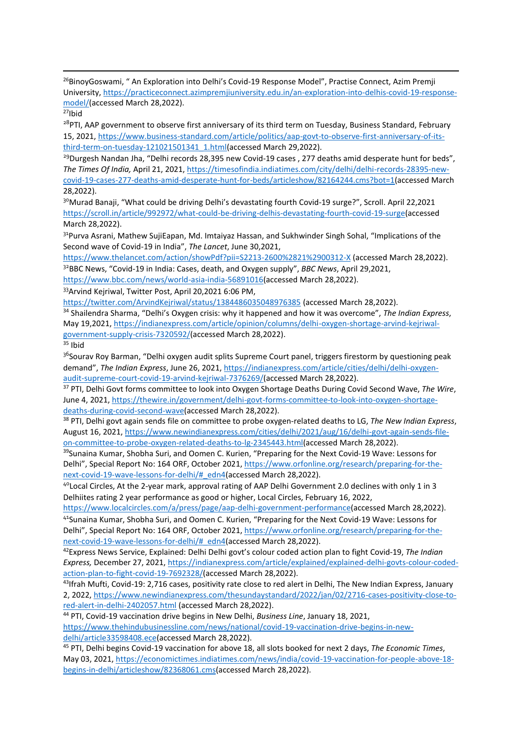i <sup>26</sup>BinoyGoswami, " An Exploration into Delhi's Covid-19 Response Model", Practise Connect, Azim Premii University, [https://practiceconnect.azimpremjiuniversity.edu.in/an-exploration-into-delhis-covid-19-response](https://practiceconnect.azimpremjiuniversity.edu.in/an-exploration-into-delhis-covid-19-response-model/)[model/\(](https://practiceconnect.azimpremjiuniversity.edu.in/an-exploration-into-delhis-covid-19-response-model/)accessed March 28,2022).

<sup>27</sup>Ibid

<sup>28</sup>PTI, AAP government to observe first anniversary of its third term on Tuesday, Business Standard, February 15, 2021, [https://www.business-standard.com/article/politics/aap-govt-to-observe-first-anniversary-of-its](https://www.business-standard.com/article/politics/aap-govt-to-observe-first-anniversary-of-its-third-term-on-tuesday-121021501341_1.html)[third-term-on-tuesday-121021501341\\_1.html\(](https://www.business-standard.com/article/politics/aap-govt-to-observe-first-anniversary-of-its-third-term-on-tuesday-121021501341_1.html)accessed March 29,2022).

<sup>29</sup>Durgesh Nandan Jha, "Delhi records 28,395 new Covid-19 cases, 277 deaths amid desperate hunt for beds", *The Times Of India,* April 21, 2021, [https://timesofindia.indiatimes.com/city/delhi/delhi-records-28395-new](https://timesofindia.indiatimes.com/city/delhi/delhi-records-28395-new-covid-19-cases-277-deaths-amid-desperate-hunt-for-beds/articleshow/82164244.cms?bot=1)[covid-19-cases-277-deaths-amid-desperate-hunt-for-beds/articleshow/82164244.cms?bot=1\(](https://timesofindia.indiatimes.com/city/delhi/delhi-records-28395-new-covid-19-cases-277-deaths-amid-desperate-hunt-for-beds/articleshow/82164244.cms?bot=1)accessed March 28,2022).

<sup>30</sup>Murad Banaji, "What could be driving Delhi's devastating fourth Covid-19 surge?", Scroll. April 22,2021 [https://scroll.in/article/992972/what-could-be-driving-delhis-devastating-fourth-covid-19-surge\(](https://scroll.in/article/992972/what-could-be-driving-delhis-devastating-fourth-covid-19-surge)accessed March 28,2022).

<sup>31</sup> Purva Asrani, Mathew SujiEapan, Md. Imtaiyaz Hassan, and Sukhwinder Singh Sohal, "Implications of the Second wave of Covid-19 in India", *The Lancet*, June 30,2021,

<https://www.thelancet.com/action/showPdf?pii=S2213-2600%2821%2900312-X> (accessed March 28,2022).

<sup>32</sup>BBC News, "Covid-19 in India: Cases, death, and Oxygen supply", *BBC News*, April 29,2021, [https://www.bbc.com/news/world-asia-india-56891016\(](https://www.bbc.com/news/world-asia-india-56891016)accessed March 28,2022).

<sup>33</sup>Arvind Kejriwal, Twitter Post, April 20,2021 6:06 PM,

<https://twitter.com/ArvindKejriwal/status/1384486035048976385> (accessed March 28,2022).

<sup>34</sup> Shailendra Sharma, "Delhi's Oxygen crisis: why it happened and how it was overcome", *The Indian Express*, May 19,2021, [https://indianexpress.com/article/opinion/columns/delhi-oxygen-shortage-arvind-kejriwal](https://indianexpress.com/article/opinion/columns/delhi-oxygen-shortage-arvind-kejriwal-government-supply-crisis-7320592/)[government-supply-crisis-7320592/\(](https://indianexpress.com/article/opinion/columns/delhi-oxygen-shortage-arvind-kejriwal-government-supply-crisis-7320592/)accessed March 28,2022).

 $35$  Ibid

<sup>36</sup>Sourav Roy Barman, "Delhi oxygen audit splits Supreme Court panel, triggers firestorm by questioning peak demand", *The Indian Express*, June 26, 2021, [https://indianexpress.com/article/cities/delhi/delhi-oxygen](https://indianexpress.com/article/cities/delhi/delhi-oxygen-audit-supreme-court-covid-19-arvind-kejriwal-7376269/)[audit-supreme-court-covid-19-arvind-kejriwal-7376269/\(](https://indianexpress.com/article/cities/delhi/delhi-oxygen-audit-supreme-court-covid-19-arvind-kejriwal-7376269/)accessed March 28,2022).

<sup>37</sup> PTI, Delhi Govt forms committee to look into Oxygen Shortage Deaths During Covid Second Wave, *The Wire*, June 4, 2021, [https://thewire.in/government/delhi-govt-forms-committee-to-look-into-oxygen-shortage](https://thewire.in/government/delhi-govt-forms-committee-to-look-into-oxygen-shortage-deaths-during-covid-second-wave)[deaths-during-covid-second-wave\(](https://thewire.in/government/delhi-govt-forms-committee-to-look-into-oxygen-shortage-deaths-during-covid-second-wave)accessed March 28,2022).

<sup>38</sup> PTI, Delhi govt again sends file on committee to probe oxygen-related deaths to LG, *The New Indian Express*, August 16, 2021, [https://www.newindianexpress.com/cities/delhi/2021/aug/16/delhi-govt-again-sends-file](https://www.newindianexpress.com/cities/delhi/2021/aug/16/delhi-govt-again-sends-file-on-committee-to-probe-oxygen-related-deaths-to-lg-2345443.html)[on-committee-to-probe-oxygen-related-deaths-to-lg-2345443.html\(](https://www.newindianexpress.com/cities/delhi/2021/aug/16/delhi-govt-again-sends-file-on-committee-to-probe-oxygen-related-deaths-to-lg-2345443.html)accessed March 28,2022).

<sup>39</sup>Sunaina Kumar, Shobha Suri, and Oomen C. Kurien, "Preparing for the Next Covid-19 Wave: Lessons for Delhi", Special Report No: 164 ORF, October 2021, [https://www.orfonline.org/research/preparing-for-the](https://www.orfonline.org/research/preparing-for-the-next-covid-19-wave-lessons-for-delhi/#_edn4)[next-covid-19-wave-lessons-for-delhi/#\\_edn4\(](https://www.orfonline.org/research/preparing-for-the-next-covid-19-wave-lessons-for-delhi/#_edn4)accessed March 28,2022).

 $40$ Local Circles, At the 2-year mark, approval rating of AAP Delhi Government 2.0 declines with only 1 in 3 Delhiites rating 2 year performance as good or higher, Local Circles, February 16, 2022,

[https://www.localcircles.com/a/press/page/aap-delhi-government-performance\(](https://www.localcircles.com/a/press/page/aap-delhi-government-performance)accessed March 28,2022). <sup>41</sup>Sunaina Kumar, Shobha Suri, and Oomen C. Kurien, "Preparing for the Next Covid-19 Wave: Lessons for

Delhi", Special Report No: 164 ORF, October 2021, [https://www.orfonline.org/research/preparing-for-the](https://www.orfonline.org/research/preparing-for-the-next-covid-19-wave-lessons-for-delhi/#_edn4)[next-covid-19-wave-lessons-for-delhi/#\\_edn4\(](https://www.orfonline.org/research/preparing-for-the-next-covid-19-wave-lessons-for-delhi/#_edn4)accessed March 28,2022).

<sup>42</sup>Express News Service, Explained: Delhi Delhi govt's colour coded action plan to fight Covid-19, *The Indian Express,* December 27, 2021, [https://indianexpress.com/article/explained/explained-delhi-govts-colour-coded](https://indianexpress.com/article/explained/explained-delhi-govts-colour-coded-action-plan-to-fight-covid-19-7692328/)[action-plan-to-fight-covid-19-7692328/\(](https://indianexpress.com/article/explained/explained-delhi-govts-colour-coded-action-plan-to-fight-covid-19-7692328/)accessed March 28,2022).

<sup>43</sup>Ifrah Mufti, Covid-19: 2,716 cases, positivity rate close to red alert in Delhi, The New Indian Express, January 2, 2022, [https://www.newindianexpress.com/thesundaystandard/2022/jan/02/2716-cases-positivity-close-to](https://www.newindianexpress.com/thesundaystandard/2022/jan/02/2716-cases-positivity-close-to-red-alert-in-delhi-2402057.html)[red-alert-in-delhi-2402057.html](https://www.newindianexpress.com/thesundaystandard/2022/jan/02/2716-cases-positivity-close-to-red-alert-in-delhi-2402057.html) (accessed March 28,2022).

<sup>44</sup> PTI, Covid-19 vaccination drive begins in New Delhi, *Business Line*, January 18, 2021,

[https://www.thehindubusinessline.com/news/national/covid-19-vaccination-drive-begins-in-new](https://www.thehindubusinessline.com/news/national/covid-19-vaccination-drive-begins-in-new-delhi/article33598408.ece)[delhi/article33598408.ece\(](https://www.thehindubusinessline.com/news/national/covid-19-vaccination-drive-begins-in-new-delhi/article33598408.ece)accessed March 28,2022).

<sup>45</sup> PTI, Delhi begins Covid-19 vaccination for above 18, all slots booked for next 2 days, *The Economic Times*, May 03, 2021, [https://economictimes.indiatimes.com/news/india/covid-19-vaccination-for-people-above-18](https://economictimes.indiatimes.com/news/india/covid-19-vaccination-for-people-above-18-begins-in-delhi/articleshow/82368061.cms) [begins-in-delhi/articleshow/82368061.cms\(](https://economictimes.indiatimes.com/news/india/covid-19-vaccination-for-people-above-18-begins-in-delhi/articleshow/82368061.cms)accessed March 28,2022).